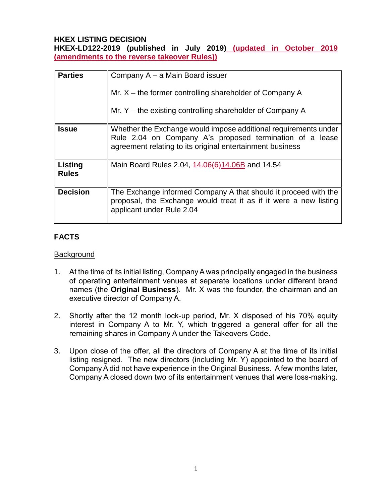#### **HKEX LISTING DECISION**

**HKEX-LD122-2019 (published in July 2019) (updated in October 2019 (amendments to the reverse takeover Rules))**

| <b>Parties</b>          | Company A – a Main Board issuer<br>Mr. $X$ – the former controlling shareholder of Company A<br>Mr. $Y$ – the existing controlling shareholder of Company A                              |
|-------------------------|------------------------------------------------------------------------------------------------------------------------------------------------------------------------------------------|
| Issue                   | Whether the Exchange would impose additional requirements under<br>Rule 2.04 on Company A's proposed termination of a lease<br>agreement relating to its original entertainment business |
| Listing<br><b>Rules</b> | Main Board Rules 2.04, 44.06(6)14.06B and 14.54                                                                                                                                          |
| <b>Decision</b>         | The Exchange informed Company A that should it proceed with the<br>proposal, the Exchange would treat it as if it were a new listing<br>applicant under Rule 2.04                        |

# **FACTS**

#### **Background**

- 1. At the time of its initial listing, Company A was principally engaged in the business of operating entertainment venues at separate locations under different brand names (the **Original Business**). Mr. X was the founder, the chairman and an executive director of Company A.
- 2. Shortly after the 12 month lock-up period, Mr. X disposed of his 70% equity interest in Company A to Mr. Y, which triggered a general offer for all the remaining shares in Company A under the Takeovers Code.
- 3. Upon close of the offer, all the directors of Company A at the time of its initial listing resigned. The new directors (including Mr. Y) appointed to the board of Company A did not have experience in the Original Business. A few months later, Company A closed down two of its entertainment venues that were loss-making.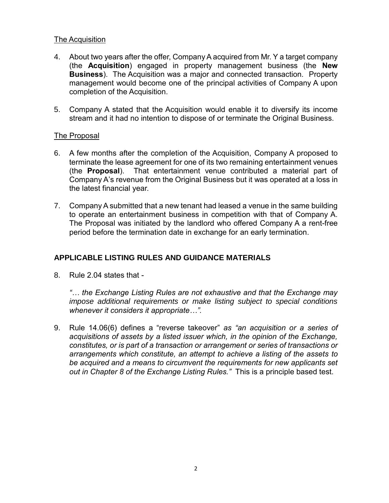## The Acquisition

- 4. About two years after the offer, Company A acquired from Mr. Y a target company (the **Acquisition**) engaged in property management business (the **New Business**). The Acquisition was a major and connected transaction. Property management would become one of the principal activities of Company A upon completion of the Acquisition.
- 5. Company A stated that the Acquisition would enable it to diversify its income stream and it had no intention to dispose of or terminate the Original Business.

## The Proposal

- 6. A few months after the completion of the Acquisition, Company A proposed to terminate the lease agreement for one of its two remaining entertainment venues (the **Proposal**). That entertainment venue contributed a material part of Company A's revenue from the Original Business but it was operated at a loss in the latest financial year.
- 7. Company A submitted that a new tenant had leased a venue in the same building to operate an entertainment business in competition with that of Company A. The Proposal was initiated by the landlord who offered Company A a rent-free period before the termination date in exchange for an early termination.

## **APPLICABLE LISTING RULES AND GUIDANCE MATERIALS**

8. Rule 2.04 states that -

*"… the Exchange Listing Rules are not exhaustive and that the Exchange may impose additional requirements or make listing subject to special conditions whenever it considers it appropriate…".*

9. Rule 14.06(6) defines a "reverse takeover" *as "an acquisition or a series of acquisitions of assets by a listed issuer which, in the opinion of the Exchange, constitutes, or is part of a transaction or arrangement or series of transactions or arrangements which constitute, an attempt to achieve a listing of the assets to be acquired and a means to circumvent the requirements for new applicants set out in Chapter 8 of the Exchange Listing Rules."* This is a principle based test.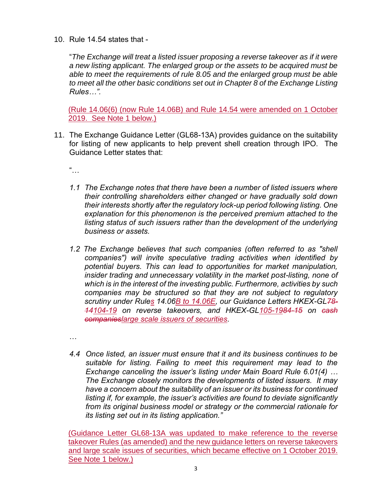10. Rule 14.54 states that -

"*The Exchange will treat a listed issuer proposing a reverse takeover as if it were a new listing applicant. The enlarged group or the assets to be acquired must be able to meet the requirements of rule 8.05 and the enlarged group must be able*  to meet all the other basic conditions set out in Chapter 8 of the Exchange Listing *Rules…".*

(Rule 14.06(6) (now Rule 14.06B) and Rule 14.54 were amended on 1 October 2019. See Note 1 below.)

11. The Exchange Guidance Letter (GL68-13A) provides guidance on the suitability for listing of new applicants to help prevent shell creation through IPO. The Guidance Letter states that:

"…

- *1.1 The Exchange notes that there have been a number of listed issuers where their controlling shareholders either changed or have gradually sold down their interests shortly after the regulatory lock-up period following listing. One explanation for this phenomenon is the perceived premium attached to the listing status of such issuers rather than the development of the underlying business or assets.*
- *1.2 The Exchange believes that such companies (often referred to as "shell companies") will invite speculative trading activities when identified by potential buyers. This can lead to opportunities for market manipulation, insider trading and unnecessary volatility in the market post-listing, none of which is in the interest of the investing public. Furthermore, activities by such companies may be structured so that they are not subject to regulatory scrutiny under [Rules](https://en-rules.hkex.com.hk/node/2664) 14.06B to 14.06E, our Guidance Letters HKEX-GL78- 14104-19 on reverse takeovers, and HKEX-GL105-1984-15 on cash companieslarge scale issuers of securities.*

…

*4.4 Once listed, an issuer must ensure that it and its business continues to be suitable for listing. Failing to meet this requirement may lead to the Exchange canceling the issuer's listing under Main Board Rule 6.01(4) … The Exchange closely monitors the developments of listed issuers. It may have a concern about the suitability of an issuer or its business for continued listing if, for example, the issuer's activities are found to deviate significantly from its original business model or strategy or the commercial rationale for its listing set out in its listing application."*

(Guidance Letter GL68-13A was updated to make reference to the reverse takeover Rules (as amended) and the new guidance letters on reverse takeovers and large scale issues of securities, which became effective on 1 October 2019. See Note 1 below.)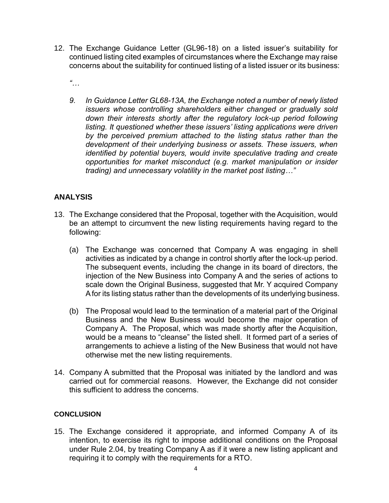- 12. The Exchange Guidance Letter (GL96-18) on a listed issuer's suitability for continued listing cited examples of circumstances where the Exchange may raise concerns about the suitability for continued listing of a listed issuer or its business:
	- *"…*
	- *9. In Guidance Letter GL68-13A, the Exchange noted a number of newly listed issuers whose controlling shareholders either changed or gradually sold down their interests shortly after the regulatory lock-up period following listing. It questioned whether these issuers' listing applications were driven by the perceived premium attached to the listing status rather than the development of their underlying business or assets. These issuers, when identified by potential buyers, would invite speculative trading and create opportunities for market misconduct (e.g. market manipulation or insider trading) and unnecessary volatility in the market post listing…"*

## **ANALYSIS**

- 13. The Exchange considered that the Proposal, together with the Acquisition, would be an attempt to circumvent the new listing requirements having regard to the following:
	- (a) The Exchange was concerned that Company A was engaging in shell activities as indicated by a change in control shortly after the lock-up period. The subsequent events, including the change in its board of directors, the injection of the New Business into Company A and the series of actions to scale down the Original Business, suggested that Mr. Y acquired Company A for its listing status rather than the developments of its underlying business.
	- (b) The Proposal would lead to the termination of a material part of the Original Business and the New Business would become the major operation of Company A. The Proposal, which was made shortly after the Acquisition, would be a means to "cleanse" the listed shell. It formed part of a series of arrangements to achieve a listing of the New Business that would not have otherwise met the new listing requirements.
- 14. Company A submitted that the Proposal was initiated by the landlord and was carried out for commercial reasons. However, the Exchange did not consider this sufficient to address the concerns.

#### **CONCLUSION**

15. The Exchange considered it appropriate, and informed Company A of its intention, to exercise its right to impose additional conditions on the Proposal under Rule 2.04, by treating Company A as if it were a new listing applicant and requiring it to comply with the requirements for a RTO.